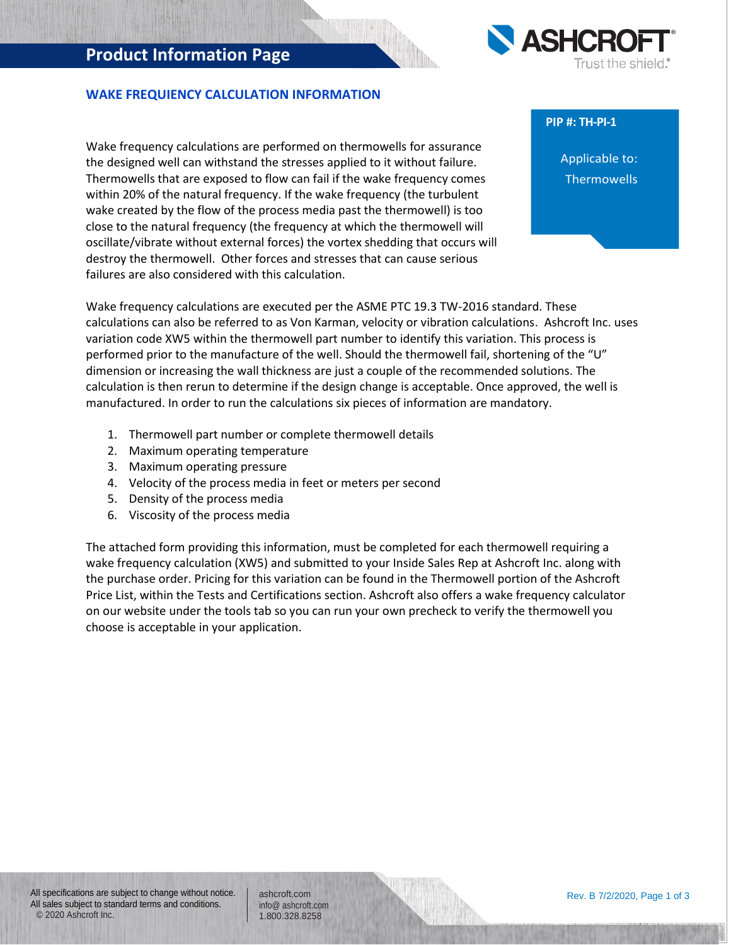## **Product Information Page**



#### **WAKE FREQUIENCY CALCULATION INFORMATION**

Wake frequency calculations are performed on thermowells for assurance the designed well can withstand the stresses applied to it without failure. Thermowells that are exposed to flow can fail if the wake frequency comes within 20% of the natural frequency. If the wake frequency (the turbulent wake created by the flow of the process media past the thermowell) is too close to the natural frequency (the frequency at which the thermowell will oscillate/vibrate without external forces) the vortex shedding that occurs will destroy the thermowell. Other forces and stresses that can cause serious failures are also considered with this calculation.

#### **PIP #: TH-PI-1**

Applicable to: **Thermowells** 

Wake frequency calculations are executed per the ASME PTC 19.3 TW-2016 standard. These calculations can also be referred to as Von Karman, velocity or vibration calculations. Ashcroft Inc. uses variation code XW5 within the thermowell part number to identify this variation. This process is performed prior to the manufacture of the well. Should the thermowell fail, shortening of the "U" dimension or increasing the wall thickness are just a couple of the recommended solutions. The calculation is then rerun to determine if the design change is acceptable. Once approved, the well is manufactured. In order to run the calculations six pieces of information are mandatory.

- 1. Thermowell part number or complete thermowell details
- 2. Maximum operating temperature
- 3. Maximum operating pressure
- 4. Velocity of the process media in feet or meters per second
- 5. Density of the process media
- 6. Viscosity of the process media

The attached form providing this information, must be completed for each thermowell requiring a wake frequency calculation (XW5) and submitted to your Inside Sales Rep at Ashcroft Inc. along with the purchase order. Pricing for this variation can be found in the Thermowell portion of the Ashcroft Price List, within the Tests and Certifications section. Ashcroft also offers a wake frequency calculator on our website under the tools tab so you can run your own precheck to verify the thermowell you choose is acceptable in your application.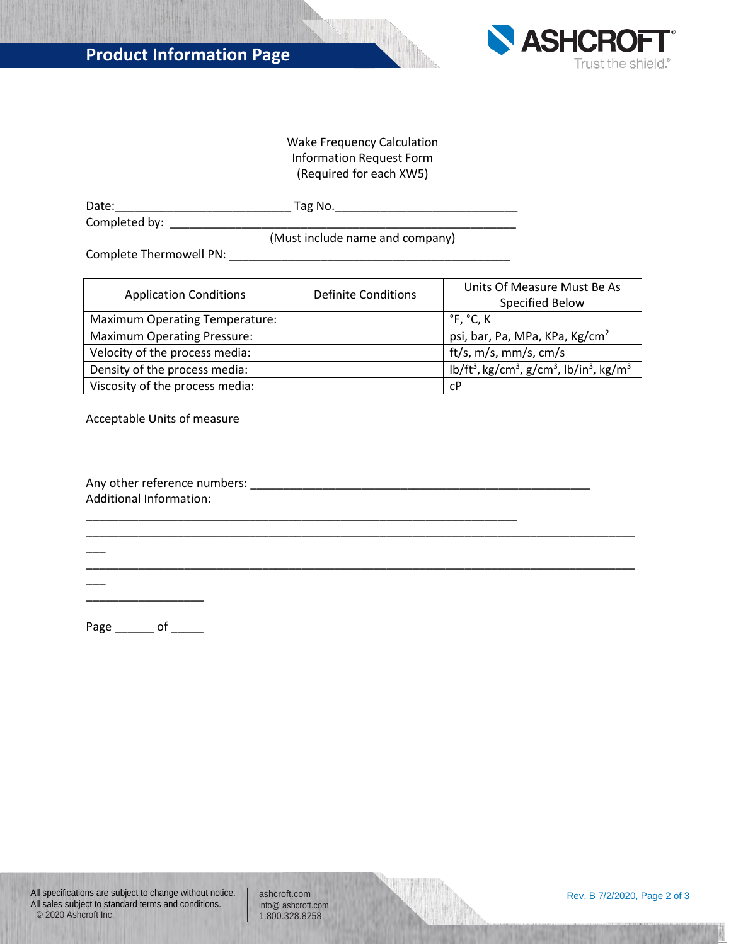

#### Wake Frequency Calculation Information Request Form (Required for each XW5)

| Date:         | ™ag No. |
|---------------|---------|
| Completed by: |         |

(Must include name and company)

Complete Thermowell PN: \_\_\_\_\_\_\_\_\_\_\_\_\_\_\_\_\_\_\_\_\_\_\_\_\_\_\_\_\_\_\_\_\_\_\_\_\_\_\_\_\_\_\_

| <b>Application Conditions</b>         | <b>Definite Conditions</b> | Units Of Measure Must Be As<br>Specified Below                                                       |  |  |
|---------------------------------------|----------------------------|------------------------------------------------------------------------------------------------------|--|--|
| <b>Maximum Operating Temperature:</b> |                            | °F, °C, K                                                                                            |  |  |
| <b>Maximum Operating Pressure:</b>    |                            | psi, bar, Pa, MPa, KPa, Kg/cm <sup>2</sup>                                                           |  |  |
| Velocity of the process media:        |                            | ft/s, $m/s$ , $mm/s$ , $cm/s$                                                                        |  |  |
| Density of the process media:         |                            | lb/ft <sup>3</sup> , kg/cm <sup>3</sup> , g/cm <sup>3</sup> , lb/in <sup>3</sup> , kg/m <sup>3</sup> |  |  |
| Viscosity of the process media:       |                            | сP                                                                                                   |  |  |

Acceptable Units of measure

| Any other reference numbers: |  |
|------------------------------|--|
| Additional Information:      |  |

\_\_\_\_\_\_\_\_\_\_\_\_\_\_\_\_\_\_\_\_\_\_\_\_\_\_\_\_\_\_\_\_\_\_\_\_\_\_\_\_\_\_\_\_\_\_\_\_\_\_\_\_\_\_\_\_\_\_\_\_\_\_\_\_\_\_\_\_\_\_\_\_\_\_\_\_\_\_\_\_\_\_\_\_

\_\_\_\_\_\_\_\_\_\_\_\_\_\_\_\_\_\_\_\_\_\_\_\_\_\_\_\_\_\_\_\_\_\_\_\_\_\_\_\_\_\_\_\_\_\_\_\_\_\_\_\_\_\_\_\_\_\_\_\_\_\_\_\_\_\_\_\_\_\_\_\_\_\_\_\_\_\_\_\_\_\_\_\_

\_\_\_\_\_\_\_\_\_\_\_\_\_\_\_\_\_\_\_\_\_\_\_\_\_\_\_\_\_\_\_\_\_\_\_\_\_\_\_\_\_\_\_\_\_\_\_\_\_\_\_\_\_\_\_\_\_\_\_\_\_\_\_\_\_\_

\_\_\_\_\_\_\_\_\_\_\_\_\_\_\_\_\_\_

 $\overline{\phantom{a}}$ 

 $\overline{\phantom{a}}$ 

Page \_\_\_\_\_\_\_ of \_\_\_\_\_\_